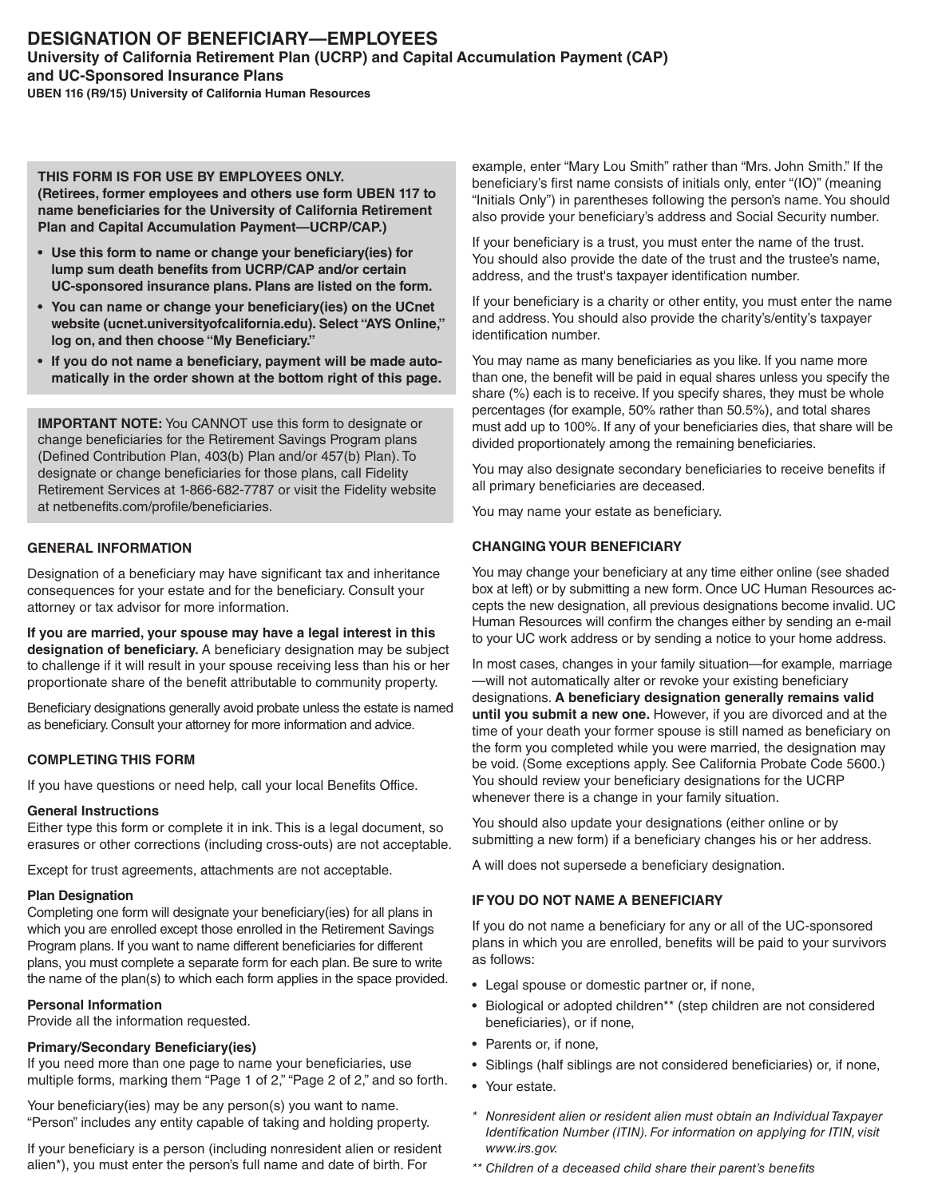### **THIS FORM IS FOR USE BY EMPLOYEES ONLY. (Retirees, former employees and others use form UBEN 117 to name beneficiaries for the University of California Retirement Plan and Capital Accumulation Payment—UCRP/CAP.)**

- **• Use this form to name or change your beneficiary(ies) for lump sum death benefits from UCRP/CAP and/or certain UC-sponsored insurance plans. Plans are listed on the form.**
- **• You can name or change your beneficiary(ies) on the UCnet website (ucnet.universityofcalifornia.edu). Select "AYS Online," log on, and then choose "My Beneficiary."**
- **• If you do not name a beneficiary, payment will be made automatically in the order shown at the bottom right of this page.**

**IMPORTANT NOTE:** You CANNOT use this form to designate or change beneficiaries for the Retirement Savings Program plans (Defined Contribution Plan, 403(b) Plan and/or 457(b) Plan). To designate or change beneficiaries for those plans, call Fidelity Retirement Services at 1-866-682-7787 or visit the Fidelity website at netbenefits.com/profile/beneficiaries.

# **GENERAL INFORMATION**

Designation of a beneficiary may have significant tax and inheritance consequences for your estate and for the beneficiary. Consult your attorney or tax advisor for more information.

**If you are married, your spouse may have a legal interest in this designation of beneficiary.** A beneficiary designation may be subject to challenge if it will result in your spouse receiving less than his or her proportionate share of the benefit attributable to community property.

Beneficiary designations generally avoid probate unless the estate is named as beneficiary. Consult your attorney for more information and advice.

# **COMPLETING THIS FORM**

If you have questions or need help, call your local Benefits Office.

# **General Instructions**

Either type this form or complete it in ink. This is a legal document, so erasures or other corrections (including cross-outs) are not acceptable.

Except for trust agreements, attachments are not acceptable.

## **Plan Designation**

Completing one form will designate your beneficiary(ies) for all plans in which you are enrolled except those enrolled in the Retirement Savings Program plans. If you want to name different beneficiaries for different plans, you must complete a separate form for each plan. Be sure to write the name of the plan(s) to which each form applies in the space provided.

## **Personal Information**

Provide all the information requested.

## **Primary/Secondary Beneficiary(ies)**

If you need more than one page to name your beneficiaries, use multiple forms, marking them "Page 1 of 2," "Page 2 of 2," and so forth.

Your beneficiary(ies) may be any person(s) you want to name. "Person" includes any entity capable of taking and holding property.

If your beneficiary is a person (including nonresident alien or resident alien\*), you must enter the person's full name and date of birth. For

example, enter "Mary Lou Smith" rather than "Mrs. John Smith." If the beneficiary's first name consists of initials only, enter "(IO)" (meaning "Initials Only") in parentheses following the person's name. You should also provide your beneficiary's address and Social Security number.

If your beneficiary is a trust, you must enter the name of the trust. You should also provide the date of the trust and the trustee's name, address, and the trust's taxpayer identification number.

If your beneficiary is a charity or other entity, you must enter the name and address. You should also provide the charity's/entity's taxpayer identification number.

You may name as many beneficiaries as you like. If you name more than one, the benefit will be paid in equal shares unless you specify the share (%) each is to receive. If you specify shares, they must be whole percentages (for example, 50% rather than 50.5%), and total shares must add up to 100%. If any of your beneficiaries dies, that share will be divided proportionately among the remaining beneficiaries.

You may also designate secondary beneficiaries to receive benefits if all primary beneficiaries are deceased.

You may name your estate as beneficiary.

# **CHANGING YOUR BENEFICIARY**

You may change your beneficiary at any time either online (see shaded box at left) or by submitting a new form. Once UC Human Resources accepts the new designation, all previous designations become invalid. UC Human Resources will confirm the changes either by sending an e-mail to your UC work address or by sending a notice to your home address.

In most cases, changes in your family situation—for example, marriage —will not automatically alter or revoke your existing beneficiary designations. **A beneficiary designation generally remains valid until you submit a new one.** However, if you are divorced and at the time of your death your former spouse is still named as beneficiary on the form you completed while you were married, the designation may be void. (Some exceptions apply. See California Probate Code 5600.) You should review your beneficiary designations for the UCRP whenever there is a change in your family situation.

You should also update your designations (either online or by submitting a new form) if a beneficiary changes his or her address.

A will does not supersede a beneficiary designation.

# **IF YOU DO NOT NAME A BENEFICIARY**

If you do not name a beneficiary for any or all of the UC-sponsored plans in which you are enrolled, benefits will be paid to your survivors as follows:

- Legal spouse or domestic partner or, if none,
- Biological or adopted children\*\* (step children are not considered beneficiaries), or if none,
- Parents or, if none,
- Siblings (half siblings are not considered beneficiaries) or, if none,
- Your estate.
- *\* Nonresident alien or resident alien must obtain an Individual Taxpayer Identification Number (ITIN). For information on applying for ITIN, visit www.irs.gov.*
- *\*\* Children of a deceased child share their parent's benefits*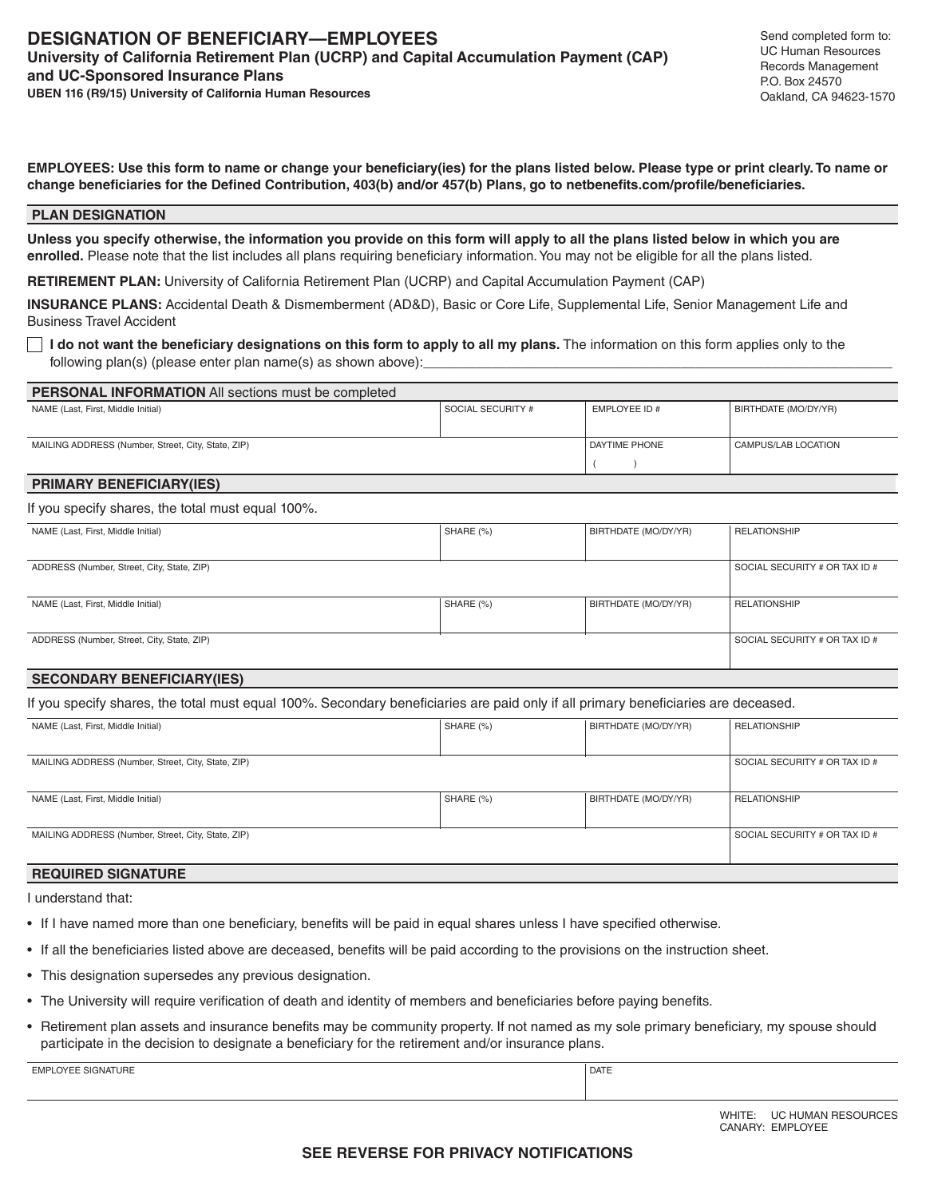**EMPLOYEES: Use this form to name or change your beneficiary(ies) for the plans listed below. Please type or print clearly. To name or change beneficiaries for the Defined Contribution, 403(b) and/or 457(b) Plans, go to netbenefits.com/profile/beneficiaries.**

#### **PLAN DESIGNATION**

**Unless you specify otherwise, the information you provide on this form will apply to all the plans listed below in which you are enrolled.** Please note that the list includes all plans requiring beneficiary information. You may not be eligible for all the plans listed.

**RETIREMENT PLAN:** University of California Retirement Plan (UCRP) and Capital Accumulation Payment (CAP)

**INSURANCE PLANS:** Accidental Death & Dismemberment (AD&D), Basic or Core Life, Supplemental Life, Senior Management Life and Business Travel Accident

 **I do not want the beneficiary designations on this form to apply to all my plans.** The information on this form applies only to the following plan(s) (please enter plan name(s) as shown above):

| <b>PERSONAL INFORMATION</b> All sections must be completed |                   |               |                      |  |  |
|------------------------------------------------------------|-------------------|---------------|----------------------|--|--|
| NAME (Last, First, Middle Initial)                         | SOCIAL SECURITY # | EMPLOYEE ID # | BIRTHDATE (MO/DY/YR) |  |  |
|                                                            |                   |               |                      |  |  |
| MAILING ADDRESS (Number, Street, City, State, ZIP)         |                   | DAYTIME PHONE | CAMPUS/LAB LOCATION  |  |  |
|                                                            |                   |               |                      |  |  |

### **PRIMARY BENEFICIARY(IES)**

### If you specify shares, the total must equal 100%.

| NAME (Last, First, Middle Initial)         | SHARE (%)                     | BIRTHDATE (MO/DY/YR) | <b>RELATIONSHIP</b>           |  |  |
|--------------------------------------------|-------------------------------|----------------------|-------------------------------|--|--|
|                                            |                               |                      |                               |  |  |
| ADDRESS (Number, Street, City, State, ZIP) | SOCIAL SECURITY # OR TAX ID # |                      |                               |  |  |
|                                            |                               |                      |                               |  |  |
| NAME (Last, First, Middle Initial)         | SHARE (%)                     | BIRTHDATE (MO/DY/YR) | <b>RELATIONSHIP</b>           |  |  |
|                                            |                               |                      |                               |  |  |
| ADDRESS (Number, Street, City, State, ZIP) |                               |                      | SOCIAL SECURITY # OR TAX ID # |  |  |
|                                            |                               |                      |                               |  |  |

### **SECONDARY BENEFICIARY(IES)**

If you specify shares, the total must equal 100%. Secondary beneficiaries are paid only if all primary beneficiaries are deceased.

| NAME (Last, First, Middle Initial)                 | SHARE (%)                     | BIRTHDATE (MO/DY/YR) | <b>RELATIONSHIP</b>           |
|----------------------------------------------------|-------------------------------|----------------------|-------------------------------|
|                                                    |                               |                      |                               |
| MAILING ADDRESS (Number, Street, City, State, ZIP) |                               |                      | SOCIAL SECURITY # OR TAX ID # |
|                                                    |                               |                      |                               |
| NAME (Last, First, Middle Initial)                 | SHARE (%)                     | BIRTHDATE (MO/DY/YR) | <b>RELATIONSHIP</b>           |
|                                                    |                               |                      |                               |
| MAILING ADDRESS (Number, Street, City, State, ZIP) | SOCIAL SECURITY # OR TAX ID # |                      |                               |
|                                                    |                               |                      |                               |

## **REQUIRED SIGNATURE**

I understand that:

- If I have named more than one beneficiary, benefits will be paid in equal shares unless I have specified otherwise.
- If all the beneficiaries listed above are deceased, benefits will be paid according to the provisions on the instruction sheet.
- This designation supersedes any previous designation.
- The University will require verification of death and identity of members and beneficiaries before paying benefits.
- Retirement plan assets and insurance benefits may be community property. If not named as my sole primary beneficiary, my spouse should participate in the decision to designate a beneficiary for the retirement and/or insurance plans.

EMPLOYEE SIGNATURE DATE